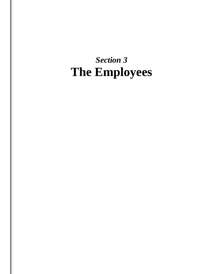# *Section 3* **The Employees**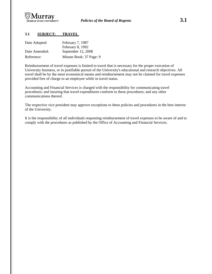

# **3.1 SUBJECT: TRAVEL**

| Date Adopted: | February 7, 1987<br>February 8, 1992 |
|---------------|--------------------------------------|
| Date Amended: | September 12, 2008                   |
| Reference:    | Minute Book: 37 Page: 9              |

Reimbursement of travel expenses is limited to travel that is necessary for the proper execution of University business, or in justifiable pursuit of the University's educational and research objectives. All travel shall be by the most economical means and reimbursement may not be claimed for travel expenses provided free of charge to an employee while in travel status.

Accounting and Financial Services is charged with the responsibility for communicating travel procedures; and insuring that travel expenditures conform to these procedures; and any other communications thereof.

The respective vice president may approve exceptions to these policies and procedures in the best interest of the University.

It is the responsibility of all individuals requesting reimbursement of travel expenses to be aware of and to comply with the procedures as published by the Office of Accounting and Financial Services.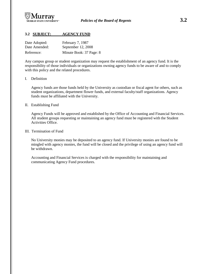

# **3.2 SUBJECT: AGENCY FUND**

| Date Adopted: | February 7, 1987        |
|---------------|-------------------------|
| Date Amended: | September 12, 2008      |
| Reference:    | Minute Book: 37 Page: 8 |

Any campus group or student organization may request the establishment of an agency fund. It is the responsibility of those individuals or organizations owning agency funds to be aware of and to comply with this policy and the related procedures.

#### I. Definition

Agency funds are those funds held by the University as custodian or fiscal agent for others, such as student organizations, department flower funds, and external faculty/staff organizations. Agency funds must be affiliated with the University.

#### II. Establishing Fund

Agency Funds will be approved and established by the Office of Accounting and Financial Services. All student groups requesting or maintaining an agency fund must be registered with the Student Activities Office.

#### III. Termination of Fund

No University monies may be deposited to an agency fund. If University monies are found to be mingled with agency monies, the fund will be closed and the privilege of using an agency fund will be withdrawn.

Accounting and Financial Services is charged with the responsibility for maintaining and communicating Agency Fund procedures.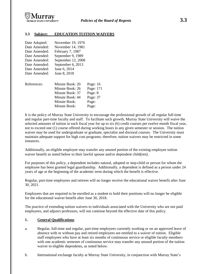

### **3.3 Subject: EDUCATION TUITION WAIVERS**

| Date Adopted: | November 19, 1976  |           |
|---------------|--------------------|-----------|
| Date Amended: | November 14, 1981  |           |
| Date Amended: | February 7, 1987   |           |
| Date Amended: | September 9, 1989  |           |
| Date Amended: | September 12, 2008 |           |
| Date Amended: | September 6, 2013  |           |
| Date Amended: | June 6, 2014       |           |
| Date Amended: | June 8, 2018       |           |
| References:   | Minute Book: 20    | Page: 16  |
|               | Minute Book: 26    | Page: 171 |
|               | Minute Book: 37    | Page: 8   |
|               | Minute Book: 44    | Page: 37  |
|               | Minute Book:       | Page:     |
|               | Minute Book:       | Page:     |

It is the policy of Murray State University to encourage the professional growth of all regular full-time and regular part-time faculty and staff. To facilitate such growth, Murray State University will waive the selected amounts of tuition in each fiscal year for up to six (6) credit courses per twelve month fiscal year, not to exceed one (1) course offered during working hours in any given semester or session. The tuition waiver may be used for undergraduate or graduate, specialist and doctoral courses. The University must maintain adequate support for high cost programs; therefore, tuition waivers may be restricted in some instances.

Additionally, an eligible employee may transfer any unused portion of the existing employee tuition waiver benefit as noted below to their lawful spouse and/or dependent child(ren).

For purposes of this policy, a dependent includes natural, adopted or step-child or person for whom the employee has been granted legal guardianship. Additionally, a dependent is defined as a person under 24 years of age at the beginning of the academic term during which the benefit is effective.

Regular, part-time employees and retirees will no longer receive the educational waiver benefit after June 30, 2021.

Employees that are required to be enrolled as a student to hold their positions will no longer be eligible for the educational waiver benefit after June 30, 2018.

The practice of extending tuition waivers to individuals associated with the University who are not paid employees, and adjunct professors, will not continue beyond the effective date of this policy.

#### **1. General Qualifications**

- a. Regular, full-time and regular, part-time employees currently working or on an approved leave of absence with or without pay and retired employees are entitled to a waiver of tuition. Eligible staff employees who have at least six months of continuous service or eligible faculty members with one academic semester of continuous service may transfer any unused portion of the tuition waiver to eligible dependents, as noted below.
- b. International exchange faculty at Murray State University, in conjunction with Murray State's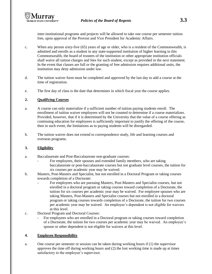inter-institutional programs and projects will be allowed to take one course per semester tuition free, upon approval of the Provost and Vice President for Academic Affairs.

- c. When any person sixty-five (65) years of age or older, who is a resident of the Commonwealth, is admitted and enrolls as a student in any state-supported institution of higher learning in this Commonwealth, the board of trustees of the institution or other appropriate institution officials shall waive all tuition charges and fees for such student, except as provided in the next statement. In the event that classes are full or the granting of free admission requires additional units, the institution may deny admission under law.
- d. The tuition waiver form must be completed and approved by the last day to add a course at the time of registration.
- e. The first day of class is the date that determines in which fiscal year the course applies.

# **2. Qualifying Courses**

- a. A course can only materialize if a sufficient number of tuition paying students enroll. The enrollment of tuition waiver employees will not be counted to determine if a course materializes. Provided, however, that if it is determined by the University that the value of a course offering as continuing education for employees is sufficiently important to justify the offering of the course, then in such event, the limitations as to paying students will be disregarded.
- b. The tuition waiver does not extend to correspondence study, life and learning courses and overseas programs.

# **3. Eligibility**

- a. Baccalaureate and Post-Baccalaureate non-graduate courses:
	- For employees, their spouses and extended family members, who are taking baccalaureate or post-baccalaureate courses but not graduate level courses, the tuition for six courses per academic year may be waived.
- b. Masters, Post-Masters and Specialist, but not enrolled in a Doctoral Program or taking courses towards completion of a Doctorate:
	- For employees who are pursuing Masters, Post-Masters and Specialist courses, but not enrolled in a doctoral program or taking courses toward completion of a Doctorate, the tuition for six courses per academic year may be waived. For employee spouses who are taking Masters, Post-Masters and Specialist courses but not enrolled in a doctoral program or taking courses towards completion of a Doctorate, the tuition for two courses per academic year may be waived. An employee's dependent is not eligible for waivers at this level.
- c. Doctoral Program and Doctoral Courses:
	- For employees who are enrolled in a Doctoral program or taking courses toward completion of a Doctorate, the tuition for two courses per academic year may be waived. An employee's spouse or other dependent is not eligible for waivers at this level.

# **4. Employee Responsibility**

a. One course per semester or session can be taken during working hours if (1) the supervisor approves the time off during working hours and (2) the lost working time is made up at times satisfactory to the employee's supervisor.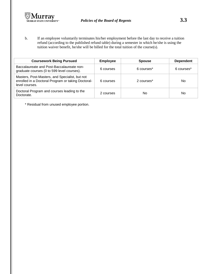

b. If an employee voluntarily terminates his/her employment before the last day to receive a tuition refund (according to the published refund table) during a semester in which he/she is using the tuition waiver benefit, he/she will be billed for the total tuition of the course(s).

| <b>Coursework Being Pursued</b>                                                                                        | <b>Employee</b> | <b>Spouse</b> | <b>Dependent</b>       |
|------------------------------------------------------------------------------------------------------------------------|-----------------|---------------|------------------------|
| Baccalaureate and Post-Baccalaureate non-<br>graduate courses (0 to 599 level courses).                                | 6 courses       | 6 courses*    | 6 courses <sup>*</sup> |
| Masters, Post-Masters, and Specialist, but not<br>enrolled in a Doctoral Program or taking Doctoral-<br>level courses. | 6 courses       | 2 courses*    | No                     |
| Doctoral Program and courses leading to the<br>Doctorate.                                                              | 2 courses       | No            | No                     |

\* Residual from unused employee portion.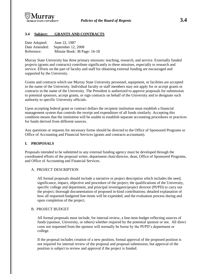

# **3.4 Subject: GRANTS AND CONTRACTS**

| Date Adopted: | June 22, 1987               |
|---------------|-----------------------------|
| Date Amended: | September 12, 2008          |
| Reference:    | Minute Book: 38 Page: 16-18 |

Murray State University has three primary missions: teaching, research, and service. Externally funded projects (grants and contracts) contribute significantly to these missions, especially to research and service. Efforts on the part of faculty and staff for obtaining external funding are encouraged and supported by the University.

Grants and contracts which use Murray State University personnel, equipment, or facilities are accepted in the name of the University. Individual faculty or staff members may not apply for or accept grants or contracts in the name of the University. The President is authorized to approve proposals for submission to potential sponsors, accept grants, or sign contracts on behalf of the University and to designate such authority to specific University officials.

Upon accepting federal grant or contract dollars the recipient institution must establish a financial management system that controls the receipt and expenditure of all funds similarly. Accepting this condition means that the institution will be unable to establish separate accounting procedures or practices for funds derived from different sources.

Any questions or requests for necessary forms should be directed to the Office of Sponsored Programs or Office of Accounting and Financial Services (grants and contracts accountant).

#### **I. PROPOSALS**

Proposals intended to be submitted to any external funding agency must be developed through the coordinated efforts of the proposal writer, department chair/director, dean, Office of Sponsored Programs, and Office of Accounting and Financial Services.

#### A. PROJECT DESCRIPTION

All formal proposals should include a narrative or project description which includes the need, significance, impact, objective and procedure of the project; the qualifications of the University, specific college and department, and principal investigator/project director (PI/PD) to carry out the project; thorough documentation of proposed in-kind contributions; detailed explanation of how all requested budgeted line-items will be expended; and the evaluation process during and upon completion of the project.

#### B. PROJECT BUDGET

All formal proposals must include, for internal review, a line-item budget reflecting sources of funds (sponsor, University, or others) whether required by the potential sponsor or not. All direct costs not requested from the sponsor will normally be borne by the PI/PD's department or college.

If the proposal includes creation of a new position, formal approval of the proposed position is not required for internal review of the proposal and proposal submission, but approval of the position is subject to review and approval if the project is funded.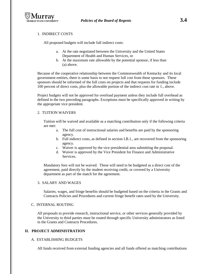

# 1. INDIRECT COSTS

All proposed budgets will include full indirect costs:

- a. At the rate negotiated between the University and the United States Department of Health and Human Services, or
- b. At the maximum rate allowable by the potential sponsor, if less than (a) above.

Because of the cooperative relationship between the Commonwealth of Kentucky and its local government entities, there is some basis to not request full cost from these sponsors. These sponsors should be informed of the full costs on projects and that requests for funding include 100 percent of direct costs, plus the allowable portion of the indirect cost rate in 1., above.

Project budgets will not be approved for overload payment unless they include full overhead as defined in the two preceding paragraphs. Exceptions must be specifically approved in writing by the appropriate vice president.

#### 2. TUITION WAIVERS

Tuition will be waived and available as a matching contribution only if the following criteria are met:

- a. The full cost of instructional salaries and benefits are paid by the sponsoring agency.
- b. Full indirect costs, as defined in section I.B.1., are recovered from the sponsoring agency.
- c. Waiver is approved by the vice presidential area submitting the proposal.
- d. Waiver is approved by the Vice President for Finance and Administrative Services.

Mandatory fees will not be waived. These will need to be budgeted as a direct cost of the agreement, paid directly by the student receiving credit, or covered by a University department as part of the match for the agreement.

#### 3. SALARY AND WAGES

Salaries, wages, and fringe benefits should be budgeted based on the criteria in the Grants and Contracts Policies and Procedures and current fringe benefit rates used by the University.

#### C. INTERNAL ROUTING

All proposals to provide research, instructional service, or other services generally provided by the University to third parties must be routed through specific University administrators as listed in the Grants and Contracts Procedures.

#### **II. PROJECT ADMINISTRATION**

#### A. ESTABLISHING BUDGETS

All funds received from external funding agencies and all funds offered as matching contributions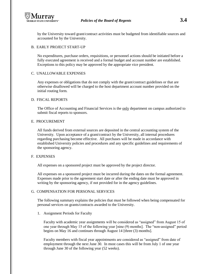

by the University toward grant/contract activities must be budgeted from identifiable sources and accounted for by the University.

#### B. EARLY PROJECT START-UP

No expenditures, purchase orders, requisitions, or personnel actions should be initiated before a fully executed agreement is received and a formal budget and account number are established. Exceptions to this policy may be approved by the appropriate vice president.

#### C. UNALLOWABLE EXPENSES

Any expenses or obligations that do not comply with the grant/contract guidelines or that are otherwise disallowed will be charged to the host department account number provided on the initial routing form.

#### D. FISCAL REPORTS

The Office of Accounting and Financial Services is the only department on campus authorized to submit fiscal reports to sponsors.

#### E. PROCUREMENT

All funds derived from external sources are deposited in the central accounting system of the University. Upon acceptance of a grant/contract by the University, all internal procedures regarding purchasing become effective. All purchases will be made in accordance with established University policies and procedures and any specific guidelines and requirements of the sponsoring agency.

#### F. EXPENSES

All expenses on a sponsored project must be approved by the project director.

All expenses on a sponsored project must be incurred during the dates on the formal agreement. Expenses made prior to the agreement start date or after the ending date must be approved in writing by the sponsoring agency, if not provided for in the agency guidelines.

#### G. COMPENSATION FOR PERSONAL SERVICES

The following summary explains the policies that must be followed when being compensated for personal services on grants/contracts awarded to the University.

#### 1. Assignment Periods for Faculty

Faculty with academic year assignments will be considered as "assigned" from August 15 of one year through May 15 of the following year [nine (9) months]. The "non-assigned" period begins on May 16 and continues through August 14 [three (3) months].

Faculty members with fiscal year appointments are considered as "assigned" from date of employment through the next June 30. In most cases this will be from July 1 of one year through June 30 of the following year (52 weeks).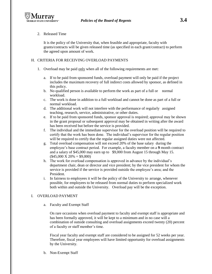

### 2. Released Time

It is the policy of the University that, when feasible and appropriate, faculty with grants/contracts will be given released time (as specified in each grant/contract) to perform the agreed upon amount of work.

# H. CRITERIA FOR RECEIVING OVERLOAD PAYMENTS

- 1. Overload may be paid only when all of the following requirements are met:
	- a. If to be paid from sponsored funds, overload payment will only be paid if the project includes the maximum recovery of full indirect costs allowed by sponsor, as defined in this policy.
	- b. No qualified person is available to perform the work as part of a full or normal workload.
	- c. The work is done in addition to a full workload and cannot be done as part of a full or normal workload.
	- d. The additional work will not interfere with the performance of regularly assigned teaching, research, service, administrative, or other duties.
	- e. If to be paid from sponsored funds, sponsor approval is required; approval may be shown in the grant proposal or subsequent approval may be obtained in writing after the award has been received but before the service is provided.
	- f. The individual and the immediate supervisor for the overload position will be required to certify that the work has been done. The individual's supervisor for the regular position will be required to certify that the regular assigned duties were not affected.
	- g. Total overload compensation will not exceed 20% of the base salary during the employee's base contract period. For example, a faculty member on a **9** month contract and a salary of \$45,000 may earn up to \$9,000 from August 15 through May 15.  $($45,000 \text{ X } 20\% = $9,000)$
	- h. The work for overload compensation is approved in advance by the individual's department chair, dean or director and vice president; by the vice president for whom the service is provided if the service is provided outside the employee's area; and the President.
	- i. In fairness to employees it will be the policy of the University to arrange, whenever possible, for employees to be released from normal duties to perform specialized work both within and outside the University. Overload pay will be the exception.

# I. OVERLOAD PAYMENT

a. Faculty and Exempt Staff

On rare occasions when overload payment to faculty and exempt staff is appropriate and has been formally approved, it will be kept to a minimum and in no case will a combination of outside consulting and overload assignments exceed twenty (20) percent of a faculty or staff member's time.

Fiscal year faculty and exempt staff are considered to be assigned for 52 weeks per year. Therefore, fiscal year employees will have limited opportunity for overload assignments by the University.

b. Non-Exempt Staff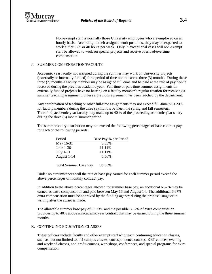

Non-exempt staff is normally those University employees who are employed on an hourly basis. According to their assigned work positions, they may be expected to work either 37.5 or 40 hours per week. Only in exceptional cases will non-exempt staff be allowed to work on special projects and receive overload/overtime compensation.

### J. SUMMER COMPENSATION/FACULTY

Academic year faculty not assigned during the summer may work on University projects (externally or internally funded) for a period of time not to exceed three (3) months. During these three (3) months a faculty member may be assigned full-time and be paid at the rate of pay he/she received during the previous academic year. Full-time or part-time summer assignments on externally funded projects have no bearing on a faculty member's regular rotation for receiving a summer teaching assignment, unless a previous agreement has been reached by the department.

Any combination of teaching or other full-time assignments may not exceed full-time plus 20% for faculty members during the three (3) months between the spring and fall semesters. Therefore, academic year faculty may make up to 40 % of the proceeding academic year salary during the three (3) month summer period.

The summer salary distribution may not exceed the following percentages of base contract pay for each of the following periods:

| Period      | Base Pay % per Period |
|-------------|-----------------------|
| May 16-31   | 5.55%                 |
| June $1-30$ | 11.11%                |
| July $1-31$ | 11.11%                |
| August 1-14 | 5.56%                 |
|             |                       |

Total Summer Base Pay 33.33%

Under no circumstances will the rate of base pay earned for each summer period exceed the above percentages of monthly contract pay.

In addition to the above percentages allowed for summer base pay, an additional 6.67% may be earned as extra compensation and paid between May 16 and August 14. The additional 6.67% extra compensation must be approved by the funding agency during the proposal stage or in writing after the award is made.

The allowable summer base pay of 33.33% and the possible 6.67% of extra compensation provides up to 40% above an academic year contract that may be earned during the three summer months.

#### K. CONTINUING EDUCATION CLASSES

These policies include faculty and other exempt staff who teach continuing education classes, such as, but not limited to, off-campus classes, correspondence courses, KET courses, evening and weekend classes, non-credit courses, workshops, conferences, and special programs for extra compensation.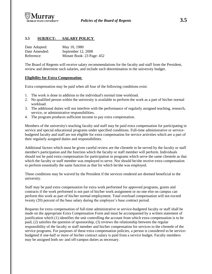

# **3.5 SUBJECT: SALARY POLICY**

| Date Adopted: | May 10, 1980              |
|---------------|---------------------------|
| Date Amended: | September 12, 2008        |
| Reference:    | Minute Book: 23 Page: 452 |

The Board of Regents will receive salary recommendations for the faculty and staff from the President, review and determine such salaries, and include such determination in the university budget.

#### **Eligibility for Extra Compensation**

Extra compensation may be paid when all four of the following conditions exist:

- 1. The work is done in addition to the individual's normal time workload.
- 2. No qualified person within the university is available to perform the work as a part of his/her normal workload.
- 3. The additional duties will not interfere with the performance of regularly assigned teaching, research, service, or administrative responsibilities.
- 4. The program produces sufficient income to pay extra compensation.

Members of the university's teaching faculty and staff may be paid extra compensation for participating in service and special educational programs under specified conditions. Full-time administrative or servicebudgeted faculty and staff are not eligible for extra compensation for service activities which are a part of their regularly assigned duties and responsibilities.

Additional factors which must be given careful review are the clientele to be served by the faculty or staff member's participation and the function which the faculty or staff member will perform. Individuals should not be paid extra compensation for participation in programs which serve the same clientele as that which the faculty or staff member was employed to serve. Nor should he/she receive extra compensation to perform essentially the same function as that for which he/she was employed.

These conditions may be waived by the President if the services rendered are deemed beneficial to the university.

Staff may be paid extra compensation for extra work performed for approved programs, grants and contracts if the work performed is not part of his/her work assignment or no one else on campus can perform this work as part of his/her normal employment. Total overload compensation will not exceed twenty (20) percent of the base salary during the employee's base contract period.

Requests for extra compensation of full-time administrative or service-budgeted faculty or staff shall be made on the appropriate Extra Compensation Form and must be accompanied by a written statement of justification which (1) identifies the unit controlling the account from which extra compensation is to be paid, (2) satisfies the question of sponsorship, (3) reviews the relationship between the regular responsibility of the faculty or staff member and his/her compensation for services to the clientele of the service programs. For purposes of these extra compensation policies, a person is considered to be servicebudgeted if one-half or more of his/her contract salary is paid from a service budget. Faculty members may be assigned both on- and off-campus duties as necessary.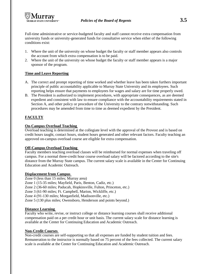

Full-time administrative or service-budgeted faculty and staff cannot receive extra compensation from university funds or university-generated funds for consultative service when either of the following conditions exist:

- 1. Where the unit of the university on whose budget the faculty or staff member appears also controls the account from which extra compensation is to be paid.
- 2. Where the unit of the university on whose budget the faculty or staff member appears is a major sponsor of the program.

# **Time and Leave Reporting**

- A. The correct and prompt reporting of time worked and whether leave has been taken furthers important principle of public accountability applicable to Murray State University and its employees. Such reporting helps ensure that payments to employees for wages and salary are for time properly owed.
- B. The President is authorized to implement procedures, with appropriate consequences, as are deemed expedient and consistent with law to ensure compliance with the accountability requirements stated in Section A, and other policy or procedure of the University to the contrary notwithstanding. Such procedures may be amended from time to time as deemed expedient by the President.

# **FACULTY**

## **On-Campus Overload Teaching**

Overload teaching is determined at the collegiate level with the approval of the Provost and is based on credit hours taught, contact hours, student hours generated and other relevant factors. Faculty teaching an approved on-campus overload course are eligible for extra compensation.

#### **Off-Campus Overload Teaching**

Faculty members teaching overload classes will be reimbursed for normal expenses when traveling off campus. For a normal three-credit hour course overload salary will be factored according to the site's distance from the Murray State campus. The current salary scale is available in the Center for Continuing Education and Academic Outreach.

# **Displacement from Campus**

Zone 0 (less than 15 miles; Murray area) Zone 1 (15-35 miles; Mayfield, Paris, Benton, Cadiz, etc.) Zone 2 (36-60 miles; Paducah, Hopkinsville, Fulton, Princeton, etc.) Zone 3 (61-90 miles; Ft. Campbell, Marion, Wickliffe, etc.) Zone 4 (91-130 miles; Morganfield, Madisonville, etc.) Zone 5 (130 plus miles; Owensboro, Henderson and points beyond.)

# **Distance Learning**

Faculty who write, revise, or instruct college or distance learning courses shall receive additional compensation paid on a per credit hour or unit basis. The current salary scale for distance learning is available at the Center for Continuing Education and Academic Outreach.

### **Non-Credit Courses**

Non-credit courses are self-supporting so that all expenses are funded by student tuition and fees. Remuneration to the instructor is normally based on 75 percent of the fees collected. The current salary scale is available at the Center for Continuing Education and Academic Outreach.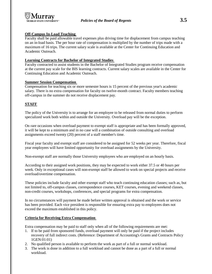

# **Off-Campus In-Load Teaching**

Faculty shall be paid allowable travel expenses plus driving time for displacement from campus teaching on an in-load basis. The per hour rate of compensation is multiplied by the number of trips made with a maximum of 16 trips. The current salary scale is available at the Center for Continuing Education and Academic Outreach.

# **Learning Contracts for Bachelor of Integrated Studies**

Faculty contracted to assist students in the Bachelor of Integrated Studies program receive compensation at the current pay scale for the BIS learning contracts. Current salary scales are available in the Center for Continuing Education and Academic Outreach.

## **Summer Session Compensation**

Compensation for teaching six or more semester hours is 15 percent of the previous year's academic salary. There is no extra compensation for faculty on twelve-month contract. Faculty members teaching off-campus in the summer do not receive displacement pay.

# **STAFF**

The policy of the University is to arrange for an employee to be released from normal duties to perform specialized work both within and outside the University. Overload pay will be the exception.

On rare occasions when overload payment to exempt staff is appropriate and has been formally approved, it will be kept to a minimum and in no case will a combination of outside consulting and overload assignments exceed twenty (20) percent of a staff member's time.

Fiscal year faculty and exempt staff are considered to be assigned for 52 weeks per year. Therefore, fiscal year employees will have limited opportunity for overload assignments by the University.

Non-exempt staff are normally those University employees who are employed on an hourly basis.

According to their assigned work positions, they may be expected to work either 37.5 or 40 hours per week. Only in exceptional cases will non-exempt staff be allowed to work on special projects and receive overload/overtime compensation.

These policies include faculty and other exempt staff who teach continuing education classes; such as, but not limited to, off-campus classes, correspondence courses, KET courses, evening and weekend classes, non-credit courses, workshops, conferences, and special programs for extra compensation.

In no circumstances will payment be made before written approval is obtained and the work or service has been provided. Each vice president is responsible for ensuring extra pay to employees does not exceed the maximum established in this policy.

# **Criteria for Receiving Extra Compensation**

Extra compensation may be paid to staff only when all of the following requirements are met:

- 1. If to be paid from sponsored funds, overload payment will only be paid if the project includes recovery of full indirect costs. (Reference: Department of Accounting's Grants and Contracts Policy 1GEN:01:01)
- 2. No qualified person is available to perform the work as part of a full or normal workload.
- 3. The work is done in addition to a full workload and cannot be done as a part of a full or normal workload.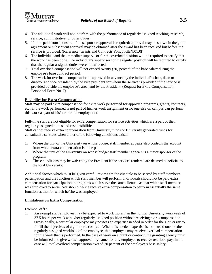

- 4. The additional work will not interfere with the performance of regularly assigned teaching, research, service, administrative, or other duties.
- 5. If to be paid from sponsored funds, sponsor approval is required; approval may be shown in the grant agreement or subsequent approval may be obtained after the award has been received but before the service is provided. (Reference: Grants and Contracts Policy lGEN:01:0l)
- 6. The individual and the immediate supervisor for the overload position will be required to certify that the work has been done. The individual's supervisor for the regular position will be required to certify that the regular assigned duties were not affected.
- 7. Total overload compensation will not exceed twenty (20) percent of the base salary during the employee's base contract period.
- 8. The work for overload compensation is approved in advance by the individual's chair, dean or director and vice president; by the vice president for whom the service is provided if the service is provided outside the employee's area; and by the President. (Request for Extra Compensation, Personnel Form No. 7)

## **Eligibility for Extra Compensation**

Staff may be paid extra compensation for extra work performed for approved programs, grants, contracts, etc., if the work performed is not part of his/her work assignment or no one else on campus can perform this work as part of his/her normal employment.

Full-time staff are not eligible for extra compensation for service activities which are a part of their regularly assigned duties and responsibilities.

Staff cannot receive extra compensation from University funds or University generated funds for consultative services when either of the following conditions exists:

- 1. Where the unit of the University on whose budget staff member appears also controls the account from which extra compensation is to be paid.
- 2. Where the unit of the University on whose budget staff member appears is a major sponsor of the program.
- 3. These conditions may be waived by the President if the services rendered are deemed beneficial to the total University.

Additional factors which must be given careful review are the clientele to be served by staff member's participation and the function which staff member will perform. Individuals should not be paid extra compensation for participation in programs which serve the same clientele as that which staff member was employed to serve. Nor should he/she receive extra compensation to perform essentially the same function as that for which he/she was employed.

#### **Limitations on Extra Compensation**

Exempt Staff :

1. An exempt staff employee may be expected to work more than the normal University workweek of 37.5 hours per week at his/her regularly assigned position without receiving extra compensation. Occasionally, a particular employee may possess an expertise needed in order for the University to fulfill the objectives of a grant or a contract. When this needed expertise is to be used outside the regularly assigned workload of the employee, that employee may receive overload compensation for the work that is performed. In the case of work on a grant or contract, the granting agency must be informed and give written approval, by name, for any employee to receive overload pay. In no case will total overload compensation exceed 20 percent of the employee's base salary.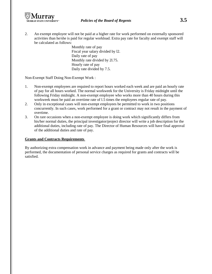

2. An exempt employee will not be paid at a higher rate for work performed on externally sponsored activities than he/she is paid for regular workload. Extra pay rate for faculty and exempt staff will be calculated as follows:

> Monthly rate of pay Fiscal year salary divided by l2. Daily rate of pay Monthly rate divided by 2l.75. Hourly rate of pay Daily rate divided by 7.5.

Non-Exempt Staff Doing Non-Exempt Work :

- 1. Non-exempt employees are required to report hours worked each week and are paid an hourly rate of pay for all hours worked. The normal workweek for the University is Friday midnight until the following Friday midnight. A non-exempt employee who works more than 40 hours during this workweek must be paid an overtime rate of l.5 times the employees regular rate of pay.
- 2. Only in exceptional cases will non-exempt employees be permitted to work in two positions concurrently. In such cases, work performed for a grant or contract may not result in the payment of overtime.
- 3. On rare occasions when a non-exempt employee is doing work which significantly differs from his/her normal duties, the principal investigator/project director will write a job description for the additional duties, including rate of pay. The Director of Human Resources will have final approval of the additional duties and rate of pay.

#### **Grants and Contracts Requirements**

By authorizing extra compensation work in advance and payment being made only after the work is performed, the documentation of personal service charges as required for grants and contracts will be satisfied.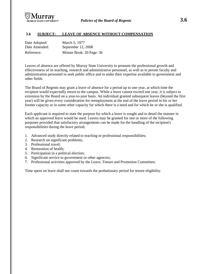

## **3.6 SUBJECT: LEAVE OF ABSENCE WITHOUT COMPENSATION**

| Date Adopted: | March 5, 1977            |
|---------------|--------------------------|
| Date Amended: | September 12, 2008       |
| Reference:    | Minute Book: 20 Page: 36 |

Leaves of absence are offered by Murray State University to promote the professional growth and effectiveness of its teaching, research and administrative personnel, as well as to permit faculty and administration personnel to seek public office and to make their expertise available to government and other fields.

The Board of Regents may grant a leave of absence for a period up to one year, at which time the recipient would expectedly return to the campus. While a leave cannot exceed one year, it is subject to extension by the Board on a year-to-year basis. An individual granted subsequent leaves (beyond the first year) will be given every consideration for reemployment at the end of the leave period in his or her former capacity or in some other capacity for which there is a need and for which he or she is qualified.

Each applicant is required to state the purpose for which a leave is sought and to detail the manner in which an approved leave would be used. Leaves may be granted for one or more of the following purposes provided that satisfactory arrangements can be made for the handling of the recipient's responsibilities during the leave period;

- 1. Advanced study directly related to teaching or professional responsibilities;
- 2. Research on significant problems;
- 3. Professional travel;
- 4. Restoration of health;
- 5. Participation in a political election;
- 6. Significant service to government or other agencies;
- 7. Professional activities approved by the Leave, Tenure and Promotion Committee;

Time spent on leave shall not count towards the probationary period for tenure eligibility.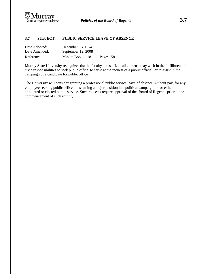

# **3.7 SUBJECT: PUBLIC SERVICE LEAVE OF ABSENCE**

| Date Adopted: | December 13, 1974  |     |           |
|---------------|--------------------|-----|-----------|
| Date Amended: | September 12, 2008 |     |           |
| Reference:    | Minute Book:       | -18 | Page: 158 |

Murray State University recognizes that its faculty and staff, as all citizens, may wish in the fulfillment of civic responsibilities to seek public office, to serve at the request of a public official, or to assist in the campaign of a candidate for public office..

The University will consider granting a professional public service leave of absence, without pay, for any employee seeking public office or assuming a major position in a political campaign or for either appointed or elected public service. Such requests require approval of the Board of Regents prior to the commencement of such activity.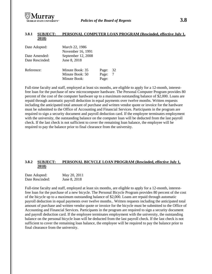

#### **3.8.1 SUBJECT: PERSONAL COMPUTER LOAN PROGRAM (Rescinded, effective July 1, 2018)**

| Date Adopted:   | March 22, 1986     |       |    |
|-----------------|--------------------|-------|----|
|                 | November 16, 1991  |       |    |
| Date Amended:   | September 12, 2008 |       |    |
| Date Rescinded: | June 8, 2018       |       |    |
| Reference:      | Minute Book: 35    | Page: | 32 |
|                 | Minute Book: 50    | Page: | 7  |
|                 | Minute Book:       | Page: |    |

Full-time faculty and staff, employed at least six months, are eligible to apply for a 12-month, interestfree loan for the purchase of new microcomputer hardware. The Personal Computer Program provides 80 percent of the cost of the computer hardware up to a maximum outstanding balance of \$2,000. Loans are repaid through automatic payroll deduction in equal payments over twelve months. Written requests including the anticipated total amount of purchase and written vendor quote or invoice for the hardware must be submitted to the Office of Accounting and Financial Services. Participants in the program are required to sign a security document and payroll deduction card. If the employee terminates employment with the university, the outstanding balance on the computer loan will be deducted from the last payroll check. If the last check is not sufficient to cover the remaining loan balance, the employee will be required to pay the balance prior to final clearance from the university.

## **3.8.2 SUBJECT: PERSONAL BICYCLE LOAN PROGRAM (Rescinded, effective July 1, 2018)**

| Date Adopted:   | May 20, 2011 |
|-----------------|--------------|
| Date Rescinded: | June 8, 2018 |

Full-time faculty and staff, employed at least six months, are eligible to apply for a 12-month, interestfree loan for the purchase of a new bicycle. The Personal Bicycle Program provides 80 percent of the cost of the bicycle up to a maximum outstanding balance of \$2,000. Loans are repaid through automatic payroll deduction in equal payments over twelve months.. Written requests including the anticipated total amount of purchase and written vendor quote or invoice for the bicycle must be submitted to the Office of Accounting and Financial Services. Participants in the program are required to sign a security document and payroll deduction card. If the employee terminates employment with the university, the outstanding balance on the personal bicycle loan will be deducted from the last payroll check. If the last check is not sufficient to cover the remaining loan balance, the employee will be required to pay the balance prior to final clearance from the university.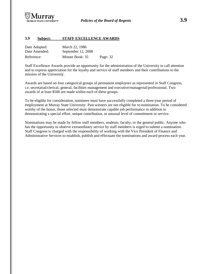

### **3.9 Subject: STAFF EXCELLENCE AWARDS**

| Date Adopted: | March 22, 1986     |          |
|---------------|--------------------|----------|
| Date Amended: | September 12, 2008 |          |
| Reference:    | Minute Book: 35    | Page: 32 |

Staff Excellence Awards provide an opportunity for the administration of the University to call attention and to express appreciation for the loyalty and service of staff members and their contributions to the mission of the University.

Awards are based on four categorical groups of permanent employees as represented in Staff Congress, i.e. secretarial/clerical, general, facilities management and executive/managerial/professional. Two awards of at least \$500 are made within each of these groups.

To be eligible for consideration, nominees must have successfully completed a three-year period of employment at Murray State University. Past winners are not eligible for re-nomination. To be considered worthy of the honor, those selected must demonstrate capable job performance in addition to demonstrating a special effort, unique contribution, or unusual level of commitment or service.

Nominations may be made by fellow staff members, students, faculty, or the general public. Anyone who has the opportunity to observe extraordinary service by staff members is urged to submit a nomination. Staff Congress is charged with the responsibility of working with the Vice President of Finance and Administrative Services to establish, publish and effectuate the nominations and award process each year.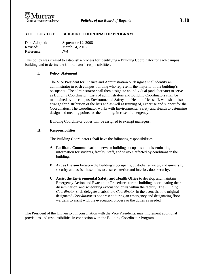

# **3.10 SUBJECT: BUILDING COORDINATOR PROGRAM**

| Date Adopted: | September 12, 2008 |
|---------------|--------------------|
| Revised:      | March 14, 2013     |
| Reference:    | N/A                |

This policy was created to establish a process for identifying a Building Coordinator for each campus building and to define the Coordinator's responsibilities.

#### **I. Policy Statement**

The Vice President for Finance and Administration or designee shall identify an administrator in each campus building who represents the majority of the building's occupants. The administrator shall then designate an individual (and alternate) to serve as Building Coordinator. Lists of administrators and Building Coordinators shall be maintained by the campus Environmental Safety and Health office staff, who shall also arrange for distribution of the lists and as well as training of, expertise and support for the Coordinators. The Coordinator works with Environmental Safety and Health to determine designated meeting points for the building. in case of emergency.

Building Coordinator duties will be assigned to exempt managers.

#### **II. Responsibilities**

The Building Coordinators shall have the following responsibilities:

- **A. Facilitate Communication** between building occupants and disseminating information for students, faculty, staff, and visitors affected by conditions in the building.
- **B. Act as Liaison** between the building's occupants, custodial services, and university security and assist these units to ensure exterior and interior, door security.
- **C. Assist the Environmental Safety and Health Office** to develop and maintain Emergency Action and Evacuation Procedures for the building, coordinating their dissemination, and scheduling evacuation drills within the facility. The *Building Coordinator* shall delegate a substitute *Coordinator* in the event that the original designated *Coordinator* is not present during an emergency and designating floor wardens to assist with the evacuation process or the duties as needed.

The President of the University, in consultation with the Vice Presidents, may implement additional provisions and responsibilities in connection with the Building Coordinator Program.